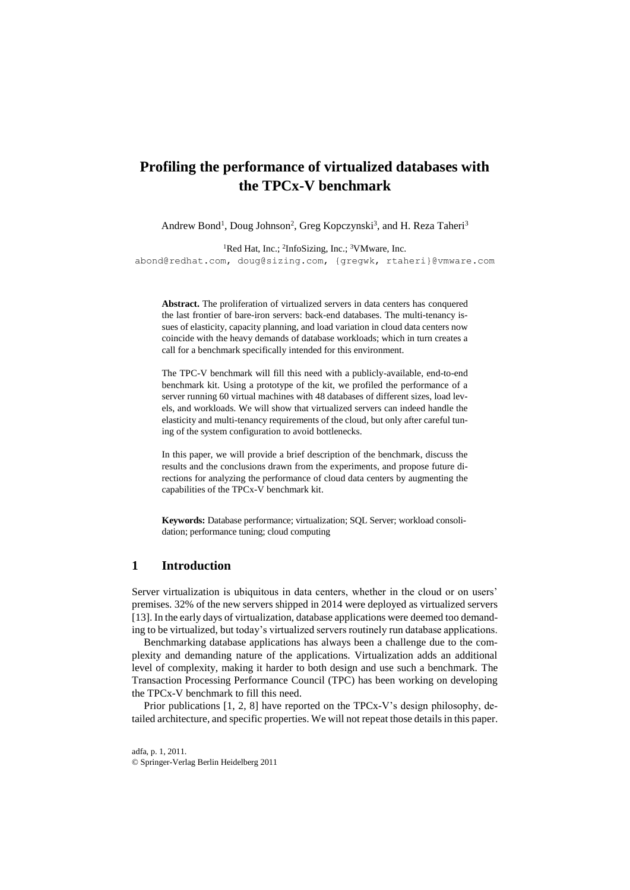# **Profiling the performance of virtualized databases with the TPCx-V benchmark**

Andrew Bond<sup>1</sup>, Doug Johnson<sup>2</sup>, Greg Kopczynski<sup>3</sup>, and H. Reza Taheri<sup>3</sup>

<sup>1</sup>Red Hat, Inc.; <sup>2</sup>InfoSizing, Inc.; <sup>3</sup>VMware, Inc. [abond@redhat.com,](mailto:abond@redhat.com) doug@sizing.com, {gregwk, rtaheri}@vmware.com

**Abstract.** The proliferation of virtualized servers in data centers has conquered the last frontier of bare-iron servers: back-end databases. The multi-tenancy issues of elasticity, capacity planning, and load variation in cloud data centers now coincide with the heavy demands of database workloads; which in turn creates a call for a benchmark specifically intended for this environment.

The TPC-V benchmark will fill this need with a publicly-available, end-to-end benchmark kit. Using a prototype of the kit, we profiled the performance of a server running 60 virtual machines with 48 databases of different sizes, load levels, and workloads. We will show that virtualized servers can indeed handle the elasticity and multi-tenancy requirements of the cloud, but only after careful tuning of the system configuration to avoid bottlenecks.

In this paper, we will provide a brief description of the benchmark, discuss the results and the conclusions drawn from the experiments, and propose future directions for analyzing the performance of cloud data centers by augmenting the capabilities of the TPCx-V benchmark kit.

**Keywords:** Database performance; virtualization; SQL Server; workload consolidation; performance tuning; cloud computing

# **1 Introduction**

Server virtualization is ubiquitous in data centers, whether in the cloud or on users' premises. 32% of the new servers shipped in 2014 were deployed as virtualized servers [\[13\]](#page-16-0). In the early days of virtualization, database applications were deemed too demanding to be virtualized, but today's virtualized servers routinely run database applications.

Benchmarking database applications has always been a challenge due to the complexity and demanding nature of the applications. Virtualization adds an additional level of complexity, making it harder to both design and use such a benchmark. The Transaction Processing Performance Council (TPC) has been working on developing the TPCx-V benchmark to fill this need.

Prior publications  $[1, 2, 8]$  $[1, 2, 8]$  $[1, 2, 8]$  have reported on the TPCx-V's design philosophy, detailed architecture, and specific properties. We will not repeat those details in this paper.

adfa, p. 1, 2011. © Springer-Verlag Berlin Heidelberg 2011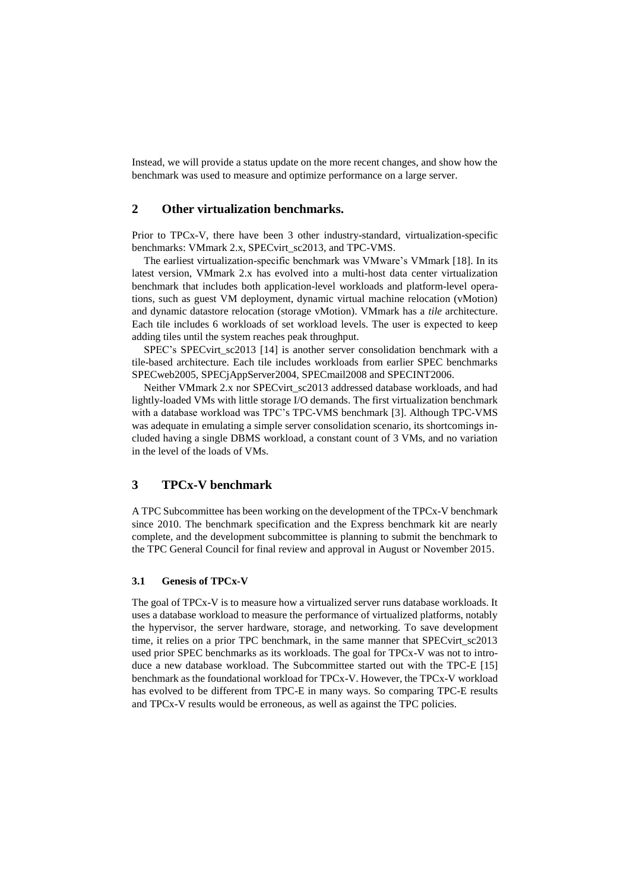Instead, we will provide a status update on the more recent changes, and show how the benchmark was used to measure and optimize performance on a large server.

### **2 Other virtualization benchmarks.**

Prior to TPCx-V, there have been 3 other industry-standard, virtualization-specific benchmarks: VMmark 2.x, SPECvirt\_sc2013, and TPC-VMS.

The earliest virtualization-specific benchmark was VMware's VMmark [\[18\]](#page-16-4). In its latest version, VMmark 2.x has evolved into a multi-host data center virtualization benchmark that includes both application-level workloads and platform-level operations, such as guest VM deployment, dynamic virtual machine relocation (vMotion) and dynamic datastore relocation (storage vMotion). VMmark has a *tile* architecture. Each tile includes 6 workloads of set workload levels. The user is expected to keep adding tiles until the system reaches peak throughput.

SPEC's SPEC virt sc2013 [\[14\]](#page-16-5) is another server consolidation benchmark with a tile-based architecture. Each tile includes workloads from earlier SPEC benchmarks SPECweb2005, SPECjAppServer2004, SPECmail2008 and SPECINT2006.

Neither VMmark 2.x nor SPECvirt\_sc2013 addressed database workloads, and had lightly-loaded VMs with little storage I/O demands. The first virtualization benchmark with a database workload was TPC's TPC-VMS benchmark [\[3\]](#page-16-6). Although TPC-VMS was adequate in emulating a simple server consolidation scenario, its shortcomings included having a single DBMS workload, a constant count of 3 VMs, and no variation in the level of the loads of VMs.

### **3 TPCx-V benchmark**

A TPC Subcommittee has been working on the development of the TPCx-V benchmark since 2010. The benchmark specification and the Express benchmark kit are nearly complete, and the development subcommittee is planning to submit the benchmark to the TPC General Council for final review and approval in August or November 2015.

#### **3.1 Genesis of TPCx-V**

The goal of TPCx-V is to measure how a virtualized server runs database workloads. It uses a database workload to measure the performance of virtualized platforms, notably the hypervisor, the server hardware, storage, and networking. To save development time, it relies on a prior TPC benchmark, in the same manner that SPECvirt sc2013 used prior SPEC benchmarks as its workloads. The goal for TPCx-V was not to introduce a new database workload. The Subcommittee started out with the TPC-E [\[15\]](#page-16-7) benchmark as the foundational workload for TPCx-V. However, the TPCx-V workload has evolved to be different from TPC-E in many ways. So comparing TPC-E results and TPCx-V results would be erroneous, as well as against the TPC policies.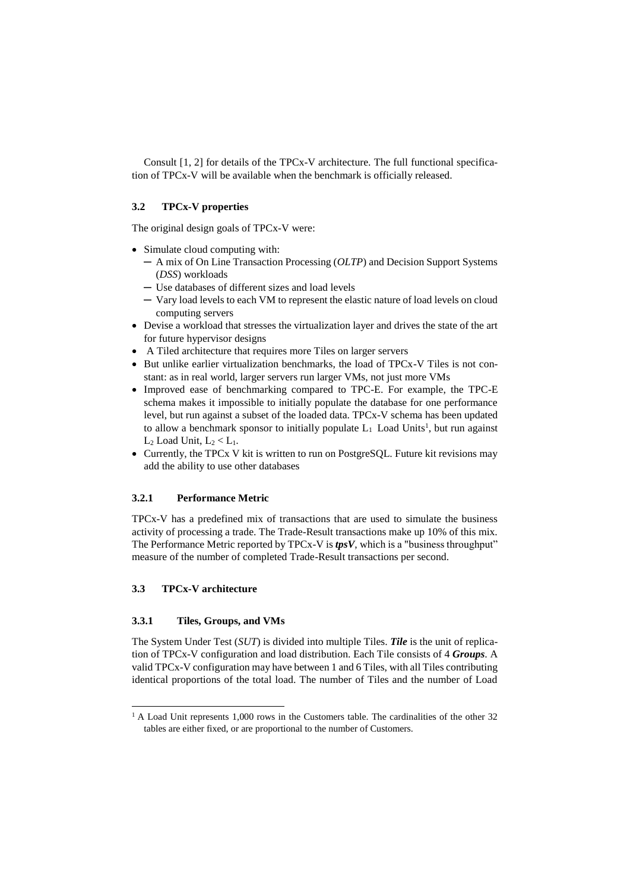Consult [\[1,](#page-16-1) [2\]](#page-16-2) for details of the TPCx-V architecture. The full functional specification of TPCx-V will be available when the benchmark is officially released.

#### **3.2 TPCx-V properties**

The original design goals of TPCx-V were:

- Simulate cloud computing with:
	- ─ A mix of On Line Transaction Processing (*OLTP*) and Decision Support Systems (*DSS*) workloads
	- ─ Use databases of different sizes and load levels
	- ─ Vary load levels to each VM to represent the elastic nature of load levels on cloud computing servers
- Devise a workload that stresses the virtualization layer and drives the state of the art for future hypervisor designs
- A Tiled architecture that requires more Tiles on larger servers
- But unlike earlier virtualization benchmarks, the load of TPCx-V Tiles is not constant: as in real world, larger servers run larger VMs, not just more VMs
- Improved ease of benchmarking compared to TPC-E. For example, the TPC-E schema makes it impossible to initially populate the database for one performance level, but run against a subset of the loaded data. TPCx-V schema has been updated to allow a benchmark sponsor to initially populate  $L_1$  Load Units<sup>1</sup>, but run against  $L_2$  Load Unit,  $L_2 < L_1$ .
- Currently, the TPCx V kit is written to run on PostgreSQL. Future kit revisions may add the ability to use other databases

#### **3.2.1 Performance Metric**

TPCx-V has a predefined mix of transactions that are used to simulate the business activity of processing a trade. The Trade-Result transactions make up 10% of this mix. The Performance Metric reported by TPCx-V is *tpsV*, which is a "business throughput" measure of the number of completed Trade-Result transactions per second.

### **3.3 TPCx-V architecture**

 $\overline{\phantom{a}}$ 

#### **3.3.1 Tiles, Groups, and VMs**

The System Under Test (*SUT*) is divided into multiple Tiles. *Tile* is the unit of replication of TPCx-V configuration and load distribution. Each Tile consists of 4 *Groups*. A valid TPCx-V configuration may have between 1 and 6 Tiles, with all Tiles contributing identical proportions of the total load. The number of Tiles and the number of Load

<sup>&</sup>lt;sup>1</sup> A Load Unit represents 1,000 rows in the Customers table. The cardinalities of the other 32 tables are either fixed, or are proportional to the number of Customers.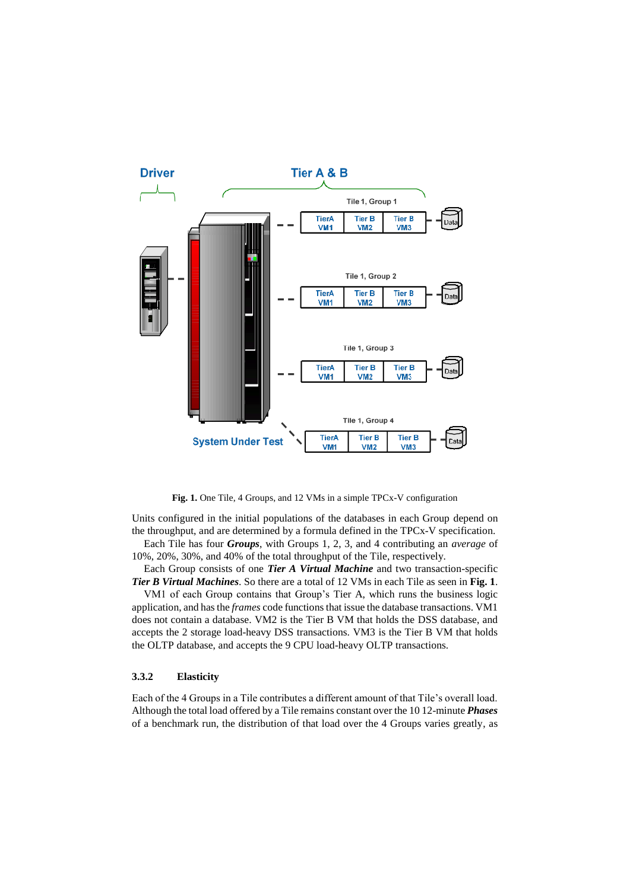

**Fig. 1.** One Tile, 4 Groups, and 12 VMs in a simple TPCx-V configuration

<span id="page-3-0"></span>Units configured in the initial populations of the databases in each Group depend on the throughput, and are determined by a formula defined in the TPCx-V specification.

Each Tile has four *Groups*, with Groups 1, 2, 3, and 4 contributing an *average* of 10%, 20%, 30%, and 40% of the total throughput of the Tile, respectively.

Each Group consists of one *Tier A Virtual Machine* and two transaction-specific *Tier B Virtual Machines*. So there are a total of 12 VMs in each Tile as seen in **[Fig. 1](#page-3-0)**.

VM1 of each Group contains that Group's Tier A, which runs the business logic application, and has the *frames* code functions that issue the database transactions. VM1 does not contain a database. VM2 is the Tier B VM that holds the DSS database, and accepts the 2 storage load-heavy DSS transactions. VM3 is the Tier B VM that holds the OLTP database, and accepts the 9 CPU load-heavy OLTP transactions.

#### **3.3.2 Elasticity**

Each of the 4 Groups in a Tile contributes a different amount of that Tile's overall load. Although the total load offered by a Tile remains constant over the 10 12-minute *Phases* of a benchmark run, the distribution of that load over the 4 Groups varies greatly, as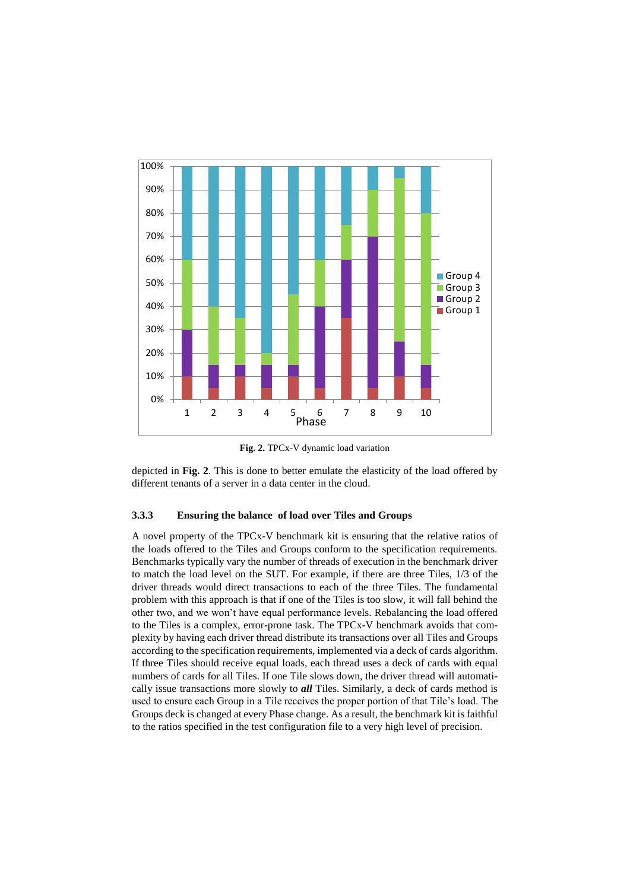

**Fig. 2.** TPCx-V dynamic load variation

<span id="page-4-0"></span>depicted in **[Fig. 2](#page-4-0)**. This is done to better emulate the elasticity of the load offered by different tenants of a server in a data center in the cloud.

#### <span id="page-4-1"></span>**3.3.3 Ensuring the balance of load over Tiles and Groups**

A novel property of the TPCx-V benchmark kit is ensuring that the relative ratios of the loads offered to the Tiles and Groups conform to the specification requirements. Benchmarks typically vary the number of threads of execution in the benchmark driver to match the load level on the SUT. For example, if there are three Tiles, 1/3 of the driver threads would direct transactions to each of the three Tiles. The fundamental problem with this approach is that if one of the Tiles is too slow, it will fall behind the other two, and we won't have equal performance levels. Rebalancing the load offered to the Tiles is a complex, error-prone task. The TPCx-V benchmark avoids that complexity by having each driver thread distribute its transactions over all Tiles and Groups according to the specification requirements, implemented via a deck of cards algorithm. If three Tiles should receive equal loads, each thread uses a deck of cards with equal numbers of cards for all Tiles. If one Tile slows down, the driver thread will automatically issue transactions more slowly to *all* Tiles. Similarly, a deck of cards method is used to ensure each Group in a Tile receives the proper portion of that Tile's load. The Groups deck is changed at every Phase change. As a result, the benchmark kit is faithful to the ratios specified in the test configuration file to a very high level of precision.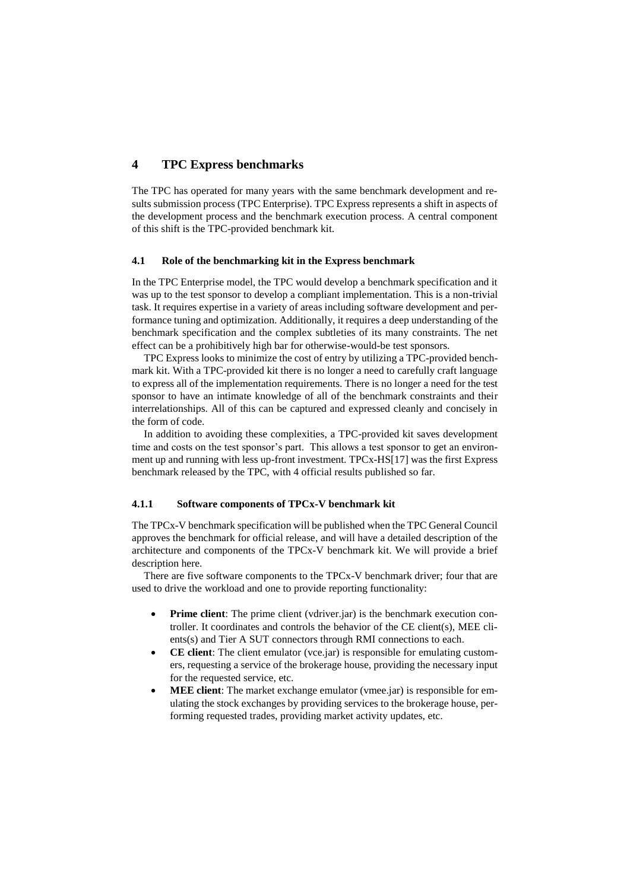# **4 TPC Express benchmarks**

The TPC has operated for many years with the same benchmark development and results submission process (TPC Enterprise). TPC Express represents a shift in aspects of the development process and the benchmark execution process. A central component of this shift is the TPC-provided benchmark kit.

#### **4.1 Role of the benchmarking kit in the Express benchmark**

In the TPC Enterprise model, the TPC would develop a benchmark specification and it was up to the test sponsor to develop a compliant implementation. This is a non-trivial task. It requires expertise in a variety of areas including software development and performance tuning and optimization. Additionally, it requires a deep understanding of the benchmark specification and the complex subtleties of its many constraints. The net effect can be a prohibitively high bar for otherwise-would-be test sponsors.

TPC Express looks to minimize the cost of entry by utilizing a TPC-provided benchmark kit. With a TPC-provided kit there is no longer a need to carefully craft language to express all of the implementation requirements. There is no longer a need for the test sponsor to have an intimate knowledge of all of the benchmark constraints and their interrelationships. All of this can be captured and expressed cleanly and concisely in the form of code.

In addition to avoiding these complexities, a TPC-provided kit saves development time and costs on the test sponsor's part. This allows a test sponsor to get an environment up and running with less up-front investment. TPCx-HS[\[17\]](#page-16-8) was the first Express benchmark released by the TPC, with 4 official results published so far.

#### **4.1.1 Software components of TPCx-V benchmark kit**

The TPCx-V benchmark specification will be published when the TPC General Council approves the benchmark for official release, and will have a detailed description of the architecture and components of the TPCx-V benchmark kit. We will provide a brief description here.

There are five software components to the TPCx-V benchmark driver; four that are used to drive the workload and one to provide reporting functionality:

- **Prime client**: The prime client (vdriver.jar) is the benchmark execution controller. It coordinates and controls the behavior of the CE client(s), MEE clients(s) and Tier A SUT connectors through RMI connections to each.
- **CE client**: The client emulator (vce.jar) is responsible for emulating customers, requesting a service of the brokerage house, providing the necessary input for the requested service, etc.
- **MEE client**: The market exchange emulator (vmee.jar) is responsible for emulating the stock exchanges by providing services to the brokerage house, performing requested trades, providing market activity updates, etc.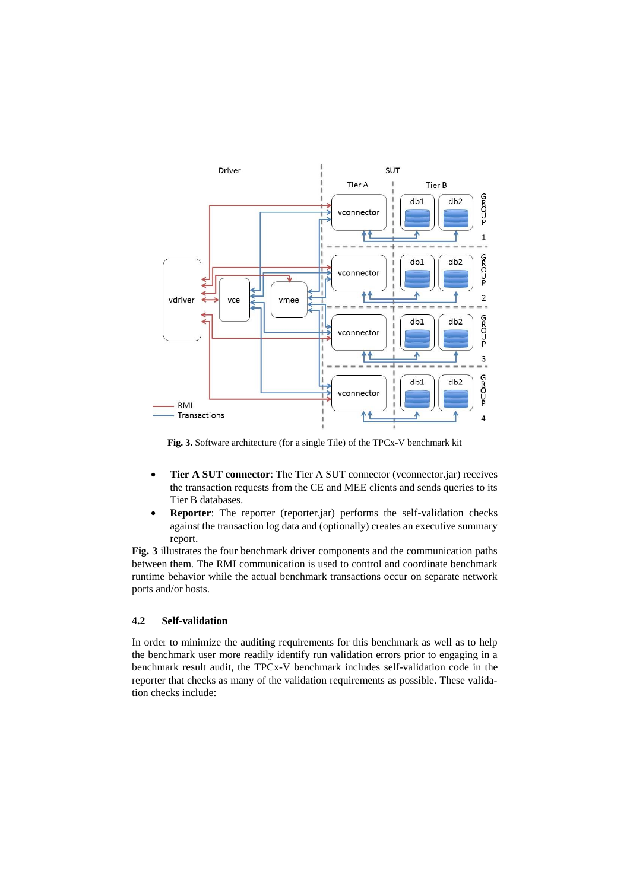

<span id="page-6-0"></span>**Fig. 3.** Software architecture (for a single Tile) of the TPCx-V benchmark kit

- **Tier A SUT connector**: The Tier A SUT connector (vconnector.jar) receives the transaction requests from the CE and MEE clients and sends queries to its Tier B databases.
- **Reporter**: The reporter (reporter.jar) performs the self-validation checks against the transaction log data and (optionally) creates an executive summary report.

**[Fig. 3](#page-6-0)** illustrates the four benchmark driver components and the communication paths between them. The RMI communication is used to control and coordinate benchmark runtime behavior while the actual benchmark transactions occur on separate network ports and/or hosts.

### **4.2 Self-validation**

In order to minimize the auditing requirements for this benchmark as well as to help the benchmark user more readily identify run validation errors prior to engaging in a benchmark result audit, the TPCx-V benchmark includes self-validation code in the reporter that checks as many of the validation requirements as possible. These validation checks include: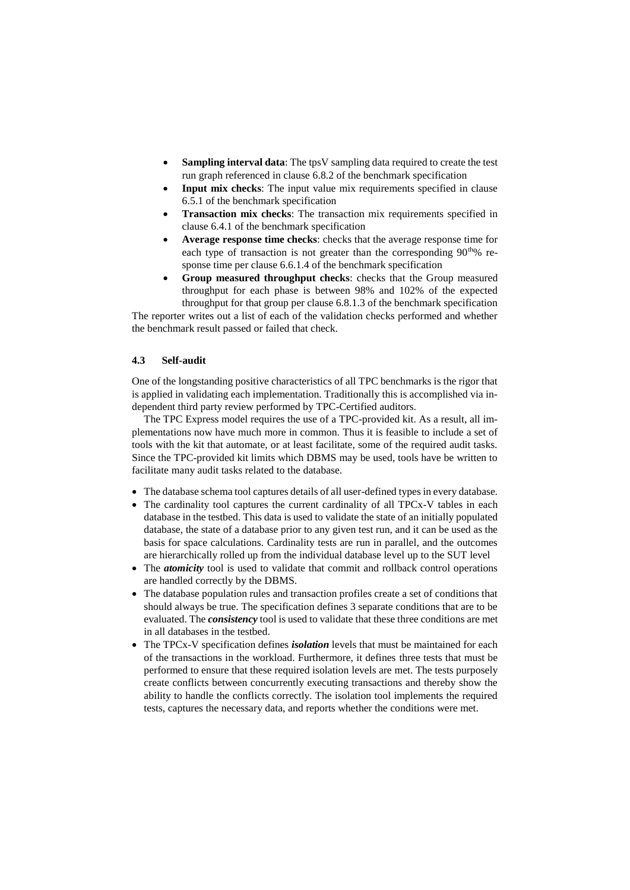- **Sampling interval data**: The tpsV sampling data required to create the test run graph referenced in clause 6.8.2 of the benchmark specification
- **Input mix checks**: The input value mix requirements specified in clause 6.5.1 of the benchmark specification
- **Transaction mix checks**: The transaction mix requirements specified in clause 6.4.1 of the benchmark specification
- **Average response time checks**: checks that the average response time for each type of transaction is not greater than the corresponding  $90<sup>th</sup>%$  response time per clause 6.6.1.4 of the benchmark specification
- **Group measured throughput checks**: checks that the Group measured throughput for each phase is between 98% and 102% of the expected throughput for that group per clause 6.8.1.3 of the benchmark specification

The reporter writes out a list of each of the validation checks performed and whether the benchmark result passed or failed that check.

### **4.3 Self-audit**

One of the longstanding positive characteristics of all TPC benchmarks is the rigor that is applied in validating each implementation. Traditionally this is accomplished via independent third party review performed by TPC-Certified auditors.

The TPC Express model requires the use of a TPC-provided kit. As a result, all implementations now have much more in common. Thus it is feasible to include a set of tools with the kit that automate, or at least facilitate, some of the required audit tasks. Since the TPC-provided kit limits which DBMS may be used, tools have be written to facilitate many audit tasks related to the database.

- The database schema tool captures details of all user-defined types in every database.
- The cardinality tool captures the current cardinality of all TPCx-V tables in each database in the testbed. This data is used to validate the state of an initially populated database, the state of a database prior to any given test run, and it can be used as the basis for space calculations. Cardinality tests are run in parallel, and the outcomes are hierarchically rolled up from the individual database level up to the SUT level
- The *atomicity* tool is used to validate that commit and rollback control operations are handled correctly by the DBMS.
- The database population rules and transaction profiles create a set of conditions that should always be true. The specification defines 3 separate conditions that are to be evaluated. The *consistency* tool is used to validate that these three conditions are met in all databases in the testbed.
- The TPCx-V specification defines *isolation* levels that must be maintained for each of the transactions in the workload. Furthermore, it defines three tests that must be performed to ensure that these required isolation levels are met. The tests purposely create conflicts between concurrently executing transactions and thereby show the ability to handle the conflicts correctly. The isolation tool implements the required tests, captures the necessary data, and reports whether the conditions were met.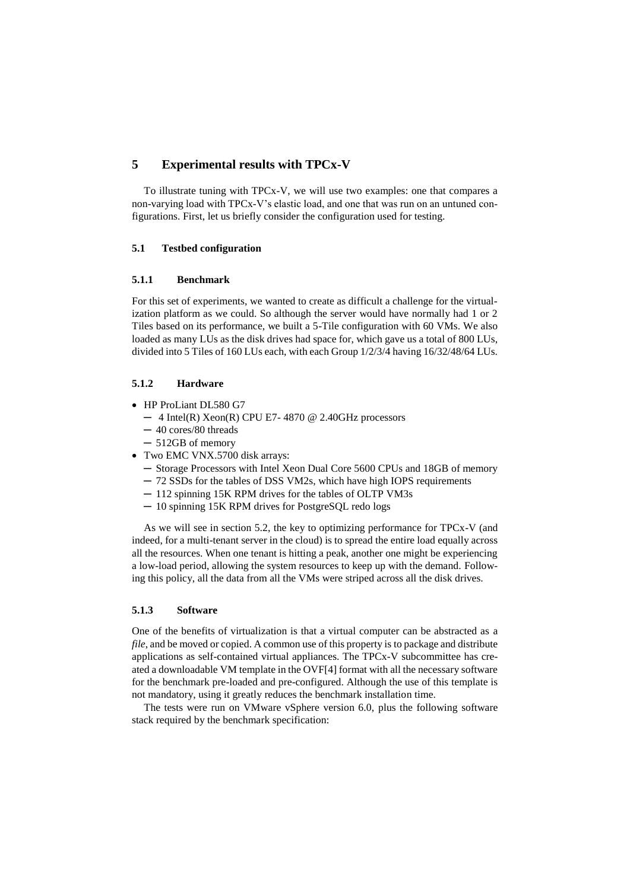# **5 Experimental results with TPCx-V**

To illustrate tuning with TPCx-V, we will use two examples: one that compares a non-varying load with TPCx-V's elastic load, and one that was run on an untuned configurations. First, let us briefly consider the configuration used for testing.

### **5.1 Testbed configuration**

#### **5.1.1 Benchmark**

For this set of experiments, we wanted to create as difficult a challenge for the virtualization platform as we could. So although the server would have normally had 1 or 2 Tiles based on its performance, we built a 5-Tile configuration with 60 VMs. We also loaded as many LUs as the disk drives had space for, which gave us a total of 800 LUs, divided into 5 Tiles of 160 LUs each, with each Group 1/2/3/4 having 16/32/48/64 LUs.

#### **5.1.2 Hardware**

- HP ProLiant DL580 G7
	- ─ 4 Intel(R) Xeon(R) CPU E7- 4870 @ 2.40GHz processors
	- ─ 40 cores/80 threads
	- ─ 512GB of memory
- Two EMC VNX.5700 disk arrays:
	- ─ Storage Processors with Intel Xeon Dual Core 5600 CPUs and 18GB of memory
	- ─ 72 SSDs for the tables of DSS VM2s, which have high IOPS requirements
	- ─ 112 spinning 15K RPM drives for the tables of OLTP VM3s
	- ─ 10 spinning 15K RPM drives for PostgreSQL redo logs

As we will see in section [5.2,](#page-9-0) the key to optimizing performance for TPCx-V (and indeed, for a multi-tenant server in the cloud) is to spread the entire load equally across all the resources. When one tenant is hitting a peak, another one might be experiencing a low-load period, allowing the system resources to keep up with the demand. Following this policy, all the data from all the VMs were striped across all the disk drives.

## <span id="page-8-0"></span>**5.1.3 Software**

One of the benefits of virtualization is that a virtual computer can be abstracted as a *file*, and be moved or copied. A common use of this property is to package and distribute applications as self-contained virtual appliances. The TPCx-V subcommittee has created a downloadable VM template in the OVF[\[4\]](#page-16-9) format with all the necessary software for the benchmark pre-loaded and pre-configured. Although the use of this template is not mandatory, using it greatly reduces the benchmark installation time.

The tests were run on VMware vSphere version 6.0, plus the following software stack required by the benchmark specification: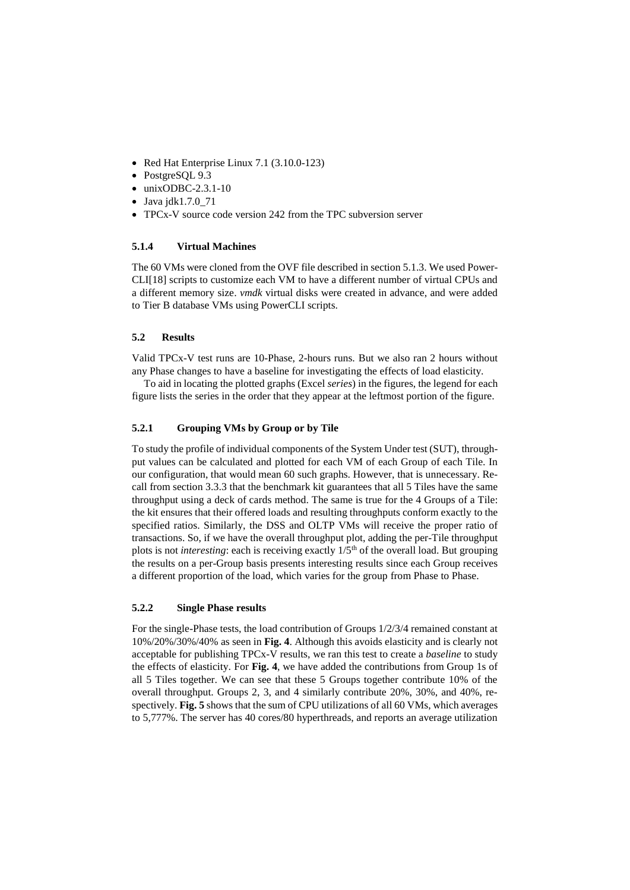- Red Hat Enterprise Linux 7.1 (3.10.0-123)
- PostgreSQL 9.3
- unixODBC-2.3.1-10
- $\bullet$  Java jdk1.7.0\_71
- TPCx-V source code version 242 from the TPC subversion server

#### **5.1.4 Virtual Machines**

The 60 VMs were cloned from the OVF file described in section [5.1.3.](#page-8-0) We used Power-CLI[\[18\]](#page-16-4) scripts to customize each VM to have a different number of virtual CPUs and a different memory size. *vmdk* virtual disks were created in advance, and were added to Tier B database VMs using PowerCLI scripts.

#### <span id="page-9-0"></span>**5.2 Results**

Valid TPCx-V test runs are 10-Phase, 2-hours runs. But we also ran 2 hours without any Phase changes to have a baseline for investigating the effects of load elasticity.

To aid in locating the plotted graphs (Excel *series*) in the figures, the legend for each figure lists the series in the order that they appear at the leftmost portion of the figure.

#### **5.2.1 Grouping VMs by Group or by Tile**

To study the profile of individual components of the System Under test (SUT), throughput values can be calculated and plotted for each VM of each Group of each Tile. In our configuration, that would mean 60 such graphs. However, that is unnecessary. Recall from section [3.3.3](#page-4-1) that the benchmark kit guarantees that all 5 Tiles have the same throughput using a deck of cards method. The same is true for the 4 Groups of a Tile: the kit ensures that their offered loads and resulting throughputs conform exactly to the specified ratios. Similarly, the DSS and OLTP VMs will receive the proper ratio of transactions. So, if we have the overall throughput plot, adding the per-Tile throughput plots is not *interesting*: each is receiving exactly 1/5th of the overall load. But grouping the results on a per-Group basis presents interesting results since each Group receives a different proportion of the load, which varies for the group from Phase to Phase.

#### <span id="page-9-1"></span>**5.2.2 Single Phase results**

For the single-Phase tests, the load contribution of Groups 1/2/3/4 remained constant at 10%/20%/30%/40% as seen in **[Fig. 4](#page-10-0)**. Although this avoids elasticity and is clearly not acceptable for publishing TPCx-V results, we ran this test to create a *baseline* to study the effects of elasticity. For **[Fig. 4](#page-10-0)**, we have added the contributions from Group 1s of all 5 Tiles together. We can see that these 5 Groups together contribute 10% of the overall throughput. Groups 2, 3, and 4 similarly contribute 20%, 30%, and 40%, respectively. **[Fig. 5](#page-10-1)** shows that the sum of CPU utilizations of all 60 VMs, which averages to 5,777%. The server has 40 cores/80 hyperthreads, and reports an average utilization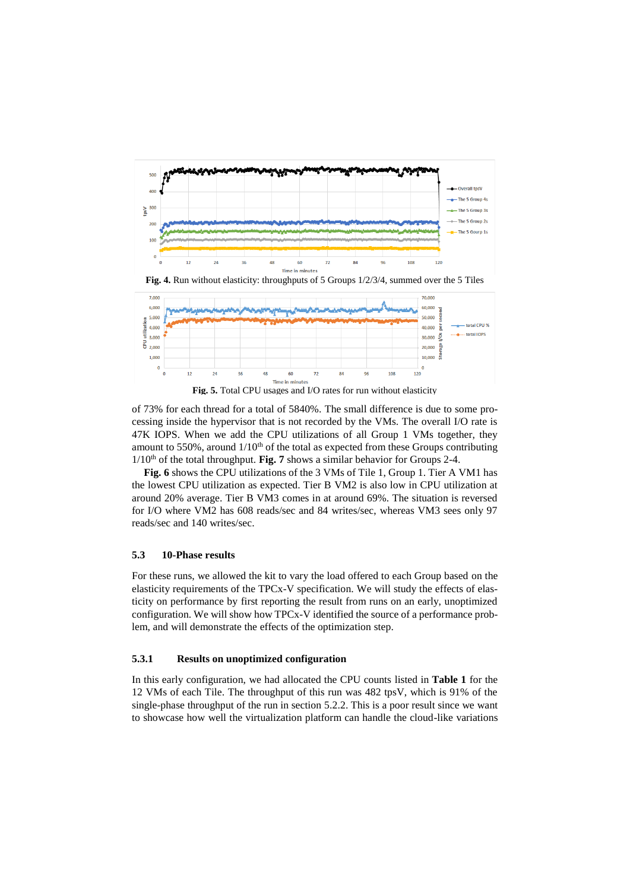

<span id="page-10-0"></span>



**Fig. 5.** Total CPU usages and I/O rates for run without elasticity

<span id="page-10-1"></span>of 73% for each thread for a total of 5840%. The small difference is due to some processing inside the hypervisor that is not recorded by the VMs. The overall I/O rate is 47K IOPS. When we add the CPU utilizations of all Group 1 VMs together, they amount to 550%, around  $1/10<sup>th</sup>$  of the total as expected from these Groups contributing 1/10th of the total throughput. **[Fig. 7](#page-11-0)** shows a similar behavior for Groups 2-4.

**[Fig. 6](#page-11-1)** shows the CPU utilizations of the 3 VMs of Tile 1, Group 1. Tier A VM1 has the lowest CPU utilization as expected. Tier B VM2 is also low in CPU utilization at around 20% average. Tier B VM3 comes in at around 69%. The situation is reversed for I/O where VM2 has 608 reads/sec and 84 writes/sec, whereas VM3 sees only 97 reads/sec and 140 writes/sec.

#### **5.3 10-Phase results**

For these runs, we allowed the kit to vary the load offered to each Group based on the elasticity requirements of the TPCx-V specification. We will study the effects of elasticity on performance by first reporting the result from runs on an early, unoptimized configuration. We will show how TPCx-V identified the source of a performance problem, and will demonstrate the effects of the optimization step.

### **5.3.1 Results on unoptimized configuration**

In this early configuration, we had allocated the CPU counts listed in **[Table 1](#page-11-2)** for the 12 VMs of each Tile. The throughput of this run was 482 tpsV, which is 91% of the single-phase throughput of the run in section [5.2.2.](#page-9-1) This is a poor result since we want to showcase how well the virtualization platform can handle the cloud-like variations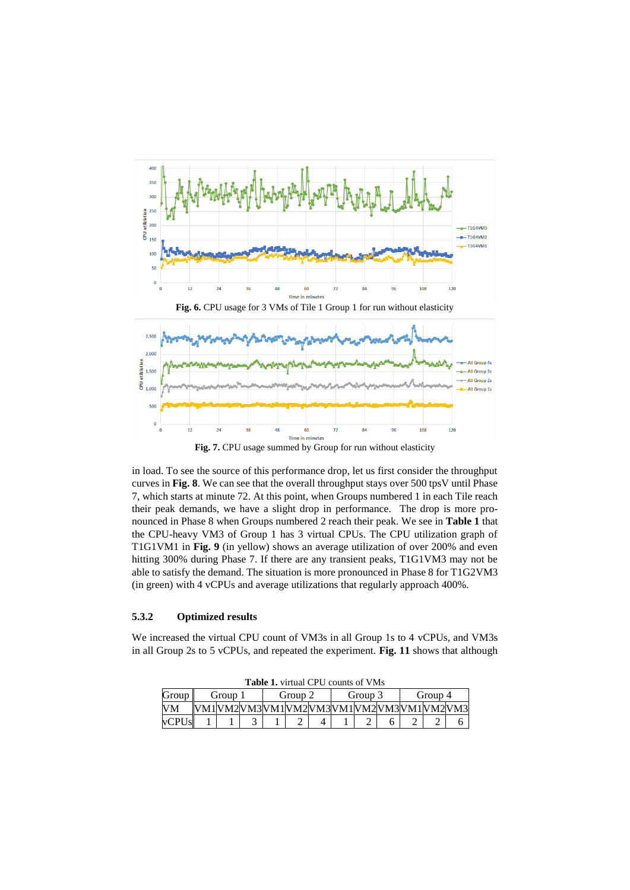<span id="page-11-1"></span>

<span id="page-11-0"></span>in load. To see the source of this performance drop, let us first consider the throughput curves in **[Fig. 8](#page-12-0)**. We can see that the overall throughput stays over 500 tpsV until Phase 7, which starts at minute 72. At this point, when Groups numbered 1 in each Tile reach their peak demands, we have a slight drop in performance. The drop is more pronounced in Phase 8 when Groups numbered 2 reach their peak. We see in **[Table 1](#page-11-2)** that the CPU-heavy VM3 of Group 1 has 3 virtual CPUs. The CPU utilization graph of T1G1VM1 in **[Fig. 9](#page-12-1)** (in yellow) shows an average utilization of over 200% and even hitting 300% during Phase 7. If there are any transient peaks, T1G1VM3 may not be able to satisfy the demand. The situation is more pronounced in Phase 8 for T1G2VM3 (in green) with 4 vCPUs and average utilizations that regularly approach 400%.

#### **5.3.2 Optimized results**

We increased the virtual CPU count of VM3s in all Group 1s to 4 vCPUs, and VM3s in all Group 2s to 5 vCPUs, and repeated the experiment. **[Fig. 11](#page-13-0)** shows that although

<span id="page-11-2"></span>

| <b>Table 1.</b> virtual CPU counts of VMs |       |  |  |         |  |  |         |  |  |         |  |                                                 |
|-------------------------------------------|-------|--|--|---------|--|--|---------|--|--|---------|--|-------------------------------------------------|
| Group                                     | Group |  |  | Group 2 |  |  | Group 3 |  |  | Group 4 |  |                                                 |
| VM                                        |       |  |  |         |  |  |         |  |  |         |  | VM1 VM2 VM3 VM1 VM2 VM3 VM1 VM2 VM3 VM1 VM2 VM3 |
| vCPI                                      |       |  |  |         |  |  |         |  |  |         |  |                                                 |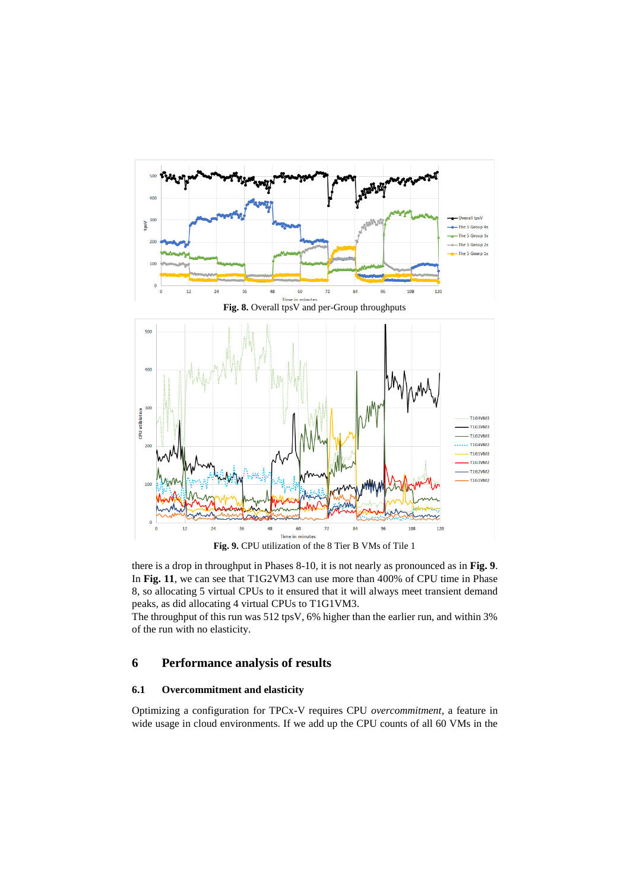<span id="page-12-0"></span>

<span id="page-12-1"></span>there is a drop in throughput in Phases 8-10, it is not nearly as pronounced as in **[Fig. 9](#page-12-1)**. In **[Fig. 11](#page-13-0)**, we can see that T1G2VM3 can use more than 400% of CPU time in Phase 8, so allocating 5 virtual CPUs to it ensured that it will always meet transient demand peaks, as did allocating 4 virtual CPUs to T1G1VM3.

The throughput of this run was 512 tpsV, 6% higher than the earlier run, and within 3% of the run with no elasticity.

# **6 Performance analysis of results**

### **6.1 Overcommitment and elasticity**

Optimizing a configuration for TPCx-V requires CPU *overcommitment*, a feature in wide usage in cloud environments. If we add up the CPU counts of all 60 VMs in the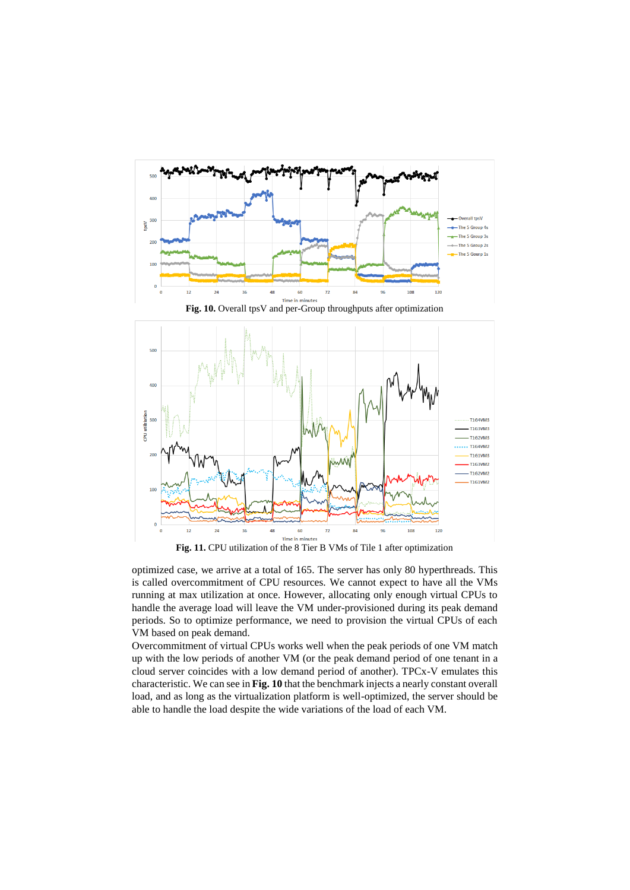<span id="page-13-1"></span>

<span id="page-13-0"></span>optimized case, we arrive at a total of 165. The server has only 80 hyperthreads. This is called overcommitment of CPU resources. We cannot expect to have all the VMs running at max utilization at once. However, allocating only enough virtual CPUs to handle the average load will leave the VM under-provisioned during its peak demand periods. So to optimize performance, we need to provision the virtual CPUs of each VM based on peak demand.

Overcommitment of virtual CPUs works well when the peak periods of one VM match up with the low periods of another VM (or the peak demand period of one tenant in a cloud server coincides with a low demand period of another). TPCx-V emulates this characteristic. We can see in **[Fig. 10](#page-13-1)** that the benchmark injects a nearly constant overall load, and as long as the virtualization platform is well-optimized, the server should be able to handle the load despite the wide variations of the load of each VM.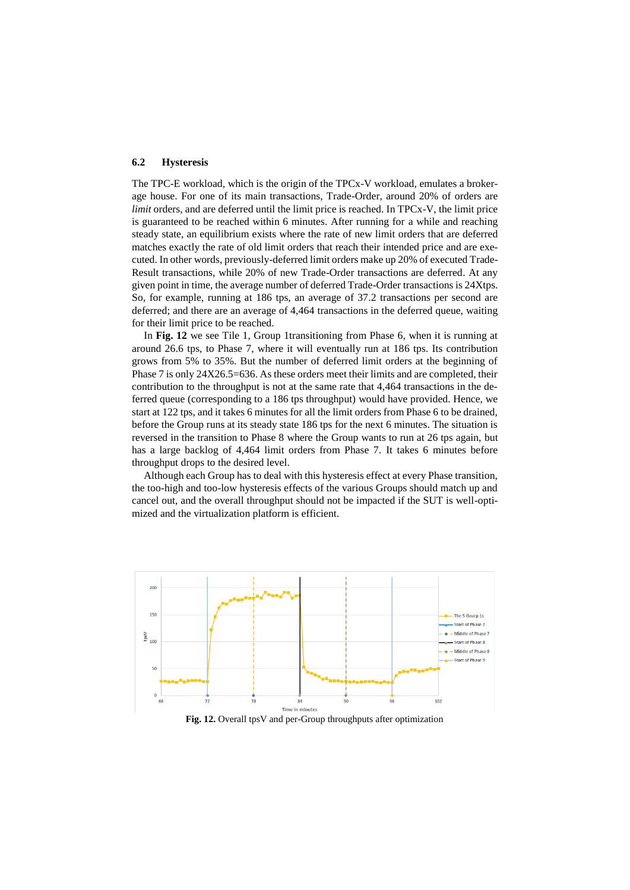#### **6.2 Hysteresis**

The TPC-E workload, which is the origin of the TPCx-V workload, emulates a brokerage house. For one of its main transactions, Trade-Order, around 20% of orders are *limit* orders, and are deferred until the limit price is reached. In TPCx-V, the limit price is guaranteed to be reached within 6 minutes. After running for a while and reaching steady state, an equilibrium exists where the rate of new limit orders that are deferred matches exactly the rate of old limit orders that reach their intended price and are executed. In other words, previously-deferred limit orders make up 20% of executed Trade-Result transactions, while 20% of new Trade-Order transactions are deferred. At any given point in time, the average number of deferred Trade-Order transactions is 24Xtps. So, for example, running at 186 tps, an average of 37.2 transactions per second are deferred; and there are an average of 4,464 transactions in the deferred queue, waiting for their limit price to be reached.

In **[Fig. 12](#page-14-0)** we see Tile 1, Group 1transitioning from Phase 6, when it is running at around 26.6 tps, to Phase 7, where it will eventually run at 186 tps. Its contribution grows from 5% to 35%. But the number of deferred limit orders at the beginning of Phase 7 is only 24X26.5=636. As these orders meet their limits and are completed, their contribution to the throughput is not at the same rate that 4,464 transactions in the deferred queue (corresponding to a 186 tps throughput) would have provided. Hence, we start at 122 tps, and it takes 6 minutes for all the limit orders from Phase 6 to be drained, before the Group runs at its steady state 186 tps for the next 6 minutes. The situation is reversed in the transition to Phase 8 where the Group wants to run at 26 tps again, but has a large backlog of 4,464 limit orders from Phase 7. It takes 6 minutes before throughput drops to the desired level.

Although each Group has to deal with this hysteresis effect at every Phase transition, the too-high and too-low hysteresis effects of the various Groups should match up and cancel out, and the overall throughput should not be impacted if the SUT is well-optimized and the virtualization platform is efficient.



<span id="page-14-0"></span>**Fig. 12.** Overall tpsV and per-Group throughputs after optimization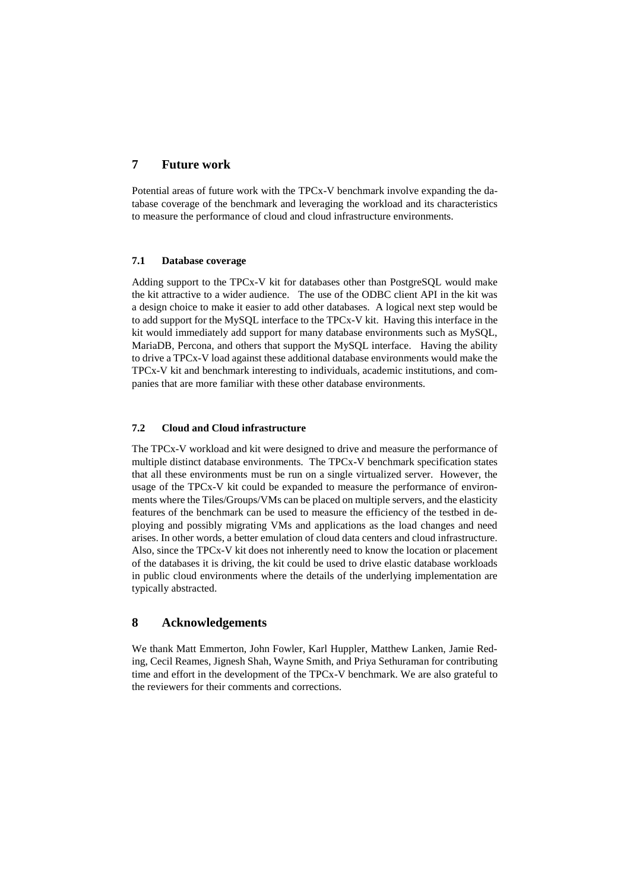# **7 Future work**

Potential areas of future work with the TPCx-V benchmark involve expanding the database coverage of the benchmark and leveraging the workload and its characteristics to measure the performance of cloud and cloud infrastructure environments.

#### **7.1 Database coverage**

Adding support to the TPCx-V kit for databases other than PostgreSQL would make the kit attractive to a wider audience. The use of the ODBC client API in the kit was a design choice to make it easier to add other databases. A logical next step would be to add support for the MySQL interface to the TPCx-V kit. Having this interface in the kit would immediately add support for many database environments such as MySQL, MariaDB, Percona, and others that support the MySQL interface. Having the ability to drive a TPCx-V load against these additional database environments would make the TPCx-V kit and benchmark interesting to individuals, academic institutions, and companies that are more familiar with these other database environments.

#### **7.2 Cloud and Cloud infrastructure**

The TPCx-V workload and kit were designed to drive and measure the performance of multiple distinct database environments. The TPCx-V benchmark specification states that all these environments must be run on a single virtualized server. However, the usage of the TPCx-V kit could be expanded to measure the performance of environments where the Tiles/Groups/VMs can be placed on multiple servers, and the elasticity features of the benchmark can be used to measure the efficiency of the testbed in deploying and possibly migrating VMs and applications as the load changes and need arises. In other words, a better emulation of cloud data centers and cloud infrastructure. Also, since the TPCx-V kit does not inherently need to know the location or placement of the databases it is driving, the kit could be used to drive elastic database workloads in public cloud environments where the details of the underlying implementation are typically abstracted.

## **8 Acknowledgements**

We thank Matt Emmerton, John Fowler, Karl Huppler, Matthew Lanken, Jamie Reding, Cecil Reames, Jignesh Shah, Wayne Smith, and Priya Sethuraman for contributing time and effort in the development of the TPCx-V benchmark. We are also grateful to the reviewers for their comments and corrections.